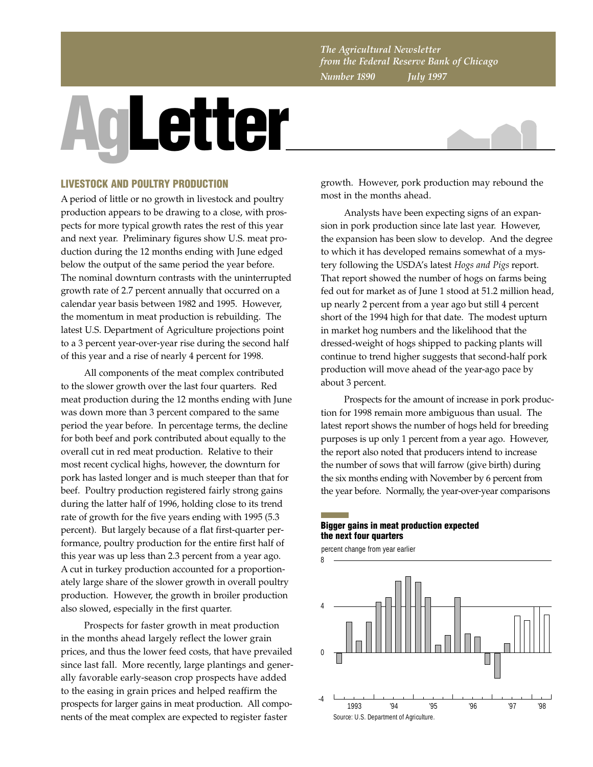*The Agricultural Newsletter from the Federal Reserve Bank of Chicago Number 1890 July 1997*

# **AgLetter**



## **LIVESTOCK AND POULTRY PRODUCTION**

A period of little or no growth in livestock and poultry production appears to be drawing to a close, with prospects for more typical growth rates the rest of this year and next year. Preliminary figures show U.S. meat production during the 12 months ending with June edged below the output of the same period the year before. The nominal downturn contrasts with the uninterrupted growth rate of 2.7 percent annually that occurred on a calendar year basis between 1982 and 1995. However, the momentum in meat production is rebuilding. The latest U.S. Department of Agriculture projections point to a 3 percent year-over-year rise during the second half of this year and a rise of nearly 4 percent for 1998.

All components of the meat complex contributed to the slower growth over the last four quarters. Red meat production during the 12 months ending with June was down more than 3 percent compared to the same period the year before. In percentage terms, the decline for both beef and pork contributed about equally to the overall cut in red meat production. Relative to their most recent cyclical highs, however, the downturn for pork has lasted longer and is much steeper than that for beef. Poultry production registered fairly strong gains during the latter half of 1996, holding close to its trend rate of growth for the five years ending with 1995 (5.3 percent). But largely because of a flat first-quarter performance, poultry production for the entire first half of this year was up less than 2.3 percent from a year ago. A cut in turkey production accounted for a proportionately large share of the slower growth in overall poultry production. However, the growth in broiler production also slowed, especially in the first quarter.

Prospects for faster growth in meat production in the months ahead largely reflect the lower grain prices, and thus the lower feed costs, that have prevailed since last fall. More recently, large plantings and generally favorable early-season crop prospects have added to the easing in grain prices and helped reaffirm the prospects for larger gains in meat production. All components of the meat complex are expected to register faster

growth. However, pork production may rebound the most in the months ahead.

Analysts have been expecting signs of an expansion in pork production since late last year. However, the expansion has been slow to develop. And the degree to which it has developed remains somewhat of a mystery following the USDA's latest *Hogs and Pigs* report. That report showed the number of hogs on farms being fed out for market as of June 1 stood at 51.2 million head, up nearly 2 percent from a year ago but still 4 percent short of the 1994 high for that date. The modest upturn in market hog numbers and the likelihood that the dressed-weight of hogs shipped to packing plants will continue to trend higher suggests that second-half pork production will move ahead of the year-ago pace by about 3 percent.

Prospects for the amount of increase in pork production for 1998 remain more ambiguous than usual. The latest report shows the number of hogs held for breeding purposes is up only 1 percent from a year ago. However, the report also noted that producers intend to increase the number of sows that will farrow (give birth) during the six months ending with November by 6 percent from the year before. Normally, the year-over-year comparisons

#### **Bigger gains in meat production expected the next four quarters**

percent change from year earlier

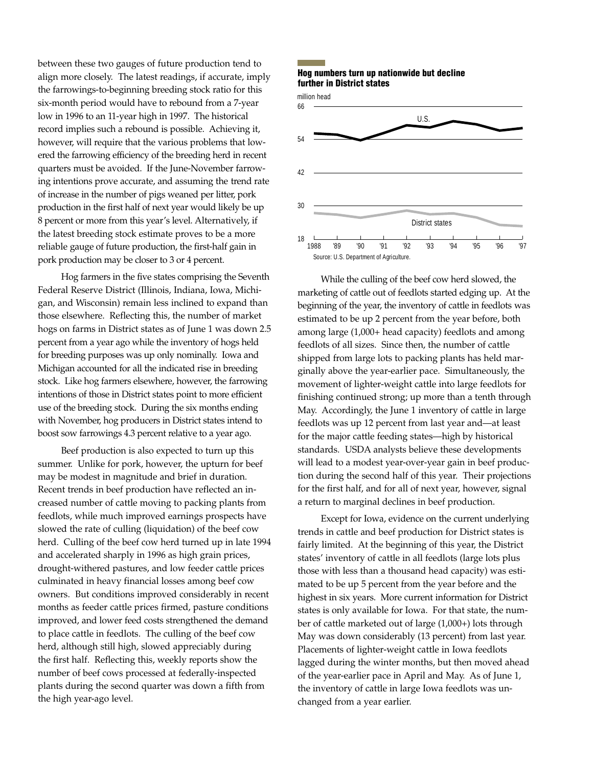between these two gauges of future production tend to align more closely. The latest readings, if accurate, imply the farrowings-to-beginning breeding stock ratio for this six-month period would have to rebound from a 7-year low in 1996 to an 11-year high in 1997. The historical record implies such a rebound is possible. Achieving it, however, will require that the various problems that lowered the farrowing efficiency of the breeding herd in recent quarters must be avoided. If the June-November farrowing intentions prove accurate, and assuming the trend rate of increase in the number of pigs weaned per litter, pork production in the first half of next year would likely be up 8 percent or more from this year's level. Alternatively, if the latest breeding stock estimate proves to be a more reliable gauge of future production, the first-half gain in pork production may be closer to 3 or 4 percent.

Hog farmers in the five states comprising the Seventh Federal Reserve District (Illinois, Indiana, Iowa, Michigan, and Wisconsin) remain less inclined to expand than those elsewhere. Reflecting this, the number of market hogs on farms in District states as of June 1 was down 2.5 percent from a year ago while the inventory of hogs held for breeding purposes was up only nominally. Iowa and Michigan accounted for all the indicated rise in breeding stock. Like hog farmers elsewhere, however, the farrowing intentions of those in District states point to more efficient use of the breeding stock. During the six months ending with November, hog producers in District states intend to boost sow farrowings 4.3 percent relative to a year ago.

Beef production is also expected to turn up this summer. Unlike for pork, however, the upturn for beef may be modest in magnitude and brief in duration. Recent trends in beef production have reflected an increased number of cattle moving to packing plants from feedlots, while much improved earnings prospects have slowed the rate of culling (liquidation) of the beef cow herd. Culling of the beef cow herd turned up in late 1994 and accelerated sharply in 1996 as high grain prices, drought-withered pastures, and low feeder cattle prices culminated in heavy financial losses among beef cow owners. But conditions improved considerably in recent months as feeder cattle prices firmed, pasture conditions improved, and lower feed costs strengthened the demand to place cattle in feedlots. The culling of the beef cow herd, although still high, slowed appreciably during the first half. Reflecting this, weekly reports show the number of beef cows processed at federally-inspected plants during the second quarter was down a fifth from the high year-ago level.

### **Hog numbers turn up nationwide but decline further in District states**



While the culling of the beef cow herd slowed, the marketing of cattle out of feedlots started edging up. At the beginning of the year, the inventory of cattle in feedlots was estimated to be up 2 percent from the year before, both among large (1,000+ head capacity) feedlots and among feedlots of all sizes. Since then, the number of cattle shipped from large lots to packing plants has held marginally above the year-earlier pace. Simultaneously, the movement of lighter-weight cattle into large feedlots for finishing continued strong; up more than a tenth through May. Accordingly, the June 1 inventory of cattle in large feedlots was up 12 percent from last year and—at least for the major cattle feeding states—high by historical standards. USDA analysts believe these developments will lead to a modest year-over-year gain in beef production during the second half of this year. Their projections for the first half, and for all of next year, however, signal a return to marginal declines in beef production.

Except for Iowa, evidence on the current underlying trends in cattle and beef production for District states is fairly limited. At the beginning of this year, the District states' inventory of cattle in all feedlots (large lots plus those with less than a thousand head capacity) was estimated to be up 5 percent from the year before and the highest in six years. More current information for District states is only available for Iowa. For that state, the number of cattle marketed out of large (1,000+) lots through May was down considerably (13 percent) from last year. Placements of lighter-weight cattle in Iowa feedlots lagged during the winter months, but then moved ahead of the year-earlier pace in April and May. As of June 1, the inventory of cattle in large Iowa feedlots was unchanged from a year earlier.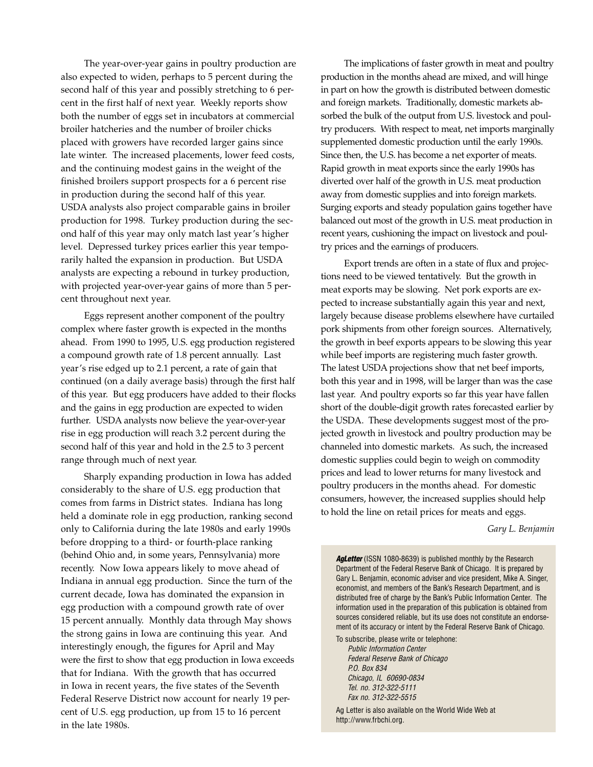The year-over-year gains in poultry production are also expected to widen, perhaps to 5 percent during the second half of this year and possibly stretching to 6 percent in the first half of next year. Weekly reports show both the number of eggs set in incubators at commercial broiler hatcheries and the number of broiler chicks placed with growers have recorded larger gains since late winter. The increased placements, lower feed costs, and the continuing modest gains in the weight of the finished broilers support prospects for a 6 percent rise in production during the second half of this year. USDA analysts also project comparable gains in broiler production for 1998. Turkey production during the second half of this year may only match last year's higher level. Depressed turkey prices earlier this year temporarily halted the expansion in production. But USDA analysts are expecting a rebound in turkey production, with projected year-over-year gains of more than 5 percent throughout next year.

Eggs represent another component of the poultry complex where faster growth is expected in the months ahead. From 1990 to 1995, U.S. egg production registered a compound growth rate of 1.8 percent annually. Last year's rise edged up to 2.1 percent, a rate of gain that continued (on a daily average basis) through the first half of this year. But egg producers have added to their flocks and the gains in egg production are expected to widen further. USDA analysts now believe the year-over-year rise in egg production will reach 3.2 percent during the second half of this year and hold in the 2.5 to 3 percent range through much of next year.

Sharply expanding production in Iowa has added considerably to the share of U.S. egg production that comes from farms in District states. Indiana has long held a dominate role in egg production, ranking second only to California during the late 1980s and early 1990s before dropping to a third- or fourth-place ranking (behind Ohio and, in some years, Pennsylvania) more recently. Now Iowa appears likely to move ahead of Indiana in annual egg production. Since the turn of the current decade, Iowa has dominated the expansion in egg production with a compound growth rate of over 15 percent annually. Monthly data through May shows the strong gains in Iowa are continuing this year. And interestingly enough, the figures for April and May were the first to show that egg production in Iowa exceeds that for Indiana. With the growth that has occurred in Iowa in recent years, the five states of the Seventh Federal Reserve District now account for nearly 19 percent of U.S. egg production, up from 15 to 16 percent in the late 1980s.

The implications of faster growth in meat and poultry production in the months ahead are mixed, and will hinge in part on how the growth is distributed between domestic and foreign markets. Traditionally, domestic markets absorbed the bulk of the output from U.S. livestock and poultry producers. With respect to meat, net imports marginally supplemented domestic production until the early 1990s. Since then, the U.S. has become a net exporter of meats. Rapid growth in meat exports since the early 1990s has diverted over half of the growth in U.S. meat production away from domestic supplies and into foreign markets. Surging exports and steady population gains together have balanced out most of the growth in U.S. meat production in recent years, cushioning the impact on livestock and poultry prices and the earnings of producers.

Export trends are often in a state of flux and projections need to be viewed tentatively. But the growth in meat exports may be slowing. Net pork exports are expected to increase substantially again this year and next, largely because disease problems elsewhere have curtailed pork shipments from other foreign sources. Alternatively, the growth in beef exports appears to be slowing this year while beef imports are registering much faster growth. The latest USDA projections show that net beef imports, both this year and in 1998, will be larger than was the case last year. And poultry exports so far this year have fallen short of the double-digit growth rates forecasted earlier by the USDA. These developments suggest most of the projected growth in livestock and poultry production may be channeled into domestic markets. As such, the increased domestic supplies could begin to weigh on commodity prices and lead to lower returns for many livestock and poultry producers in the months ahead. For domestic consumers, however, the increased supplies should help to hold the line on retail prices for meats and eggs.

*Gary L. Benjamin*

Agletter (ISSN 1080-8639) is published monthly by the Research Department of the Federal Reserve Bank of Chicago. It is prepared by Gary L. Benjamin, economic adviser and vice president, Mike A. Singer, economist, and members of the Bank's Research Department, and is distributed free of charge by the Bank's Public Information Center. The information used in the preparation of this publication is obtained from sources considered reliable, but its use does not constitute an endorsement of its accuracy or intent by the Federal Reserve Bank of Chicago.

To subscribe, please write or telephone: Public Information Center Federal Reserve Bank of Chicago P.O. Box 834 Chicago, IL 60690-0834 Tel. no. 312-322-5111 Fax no. 312-322-5515

Ag Letter is also available on the World Wide Web at http://www.frbchi.org.